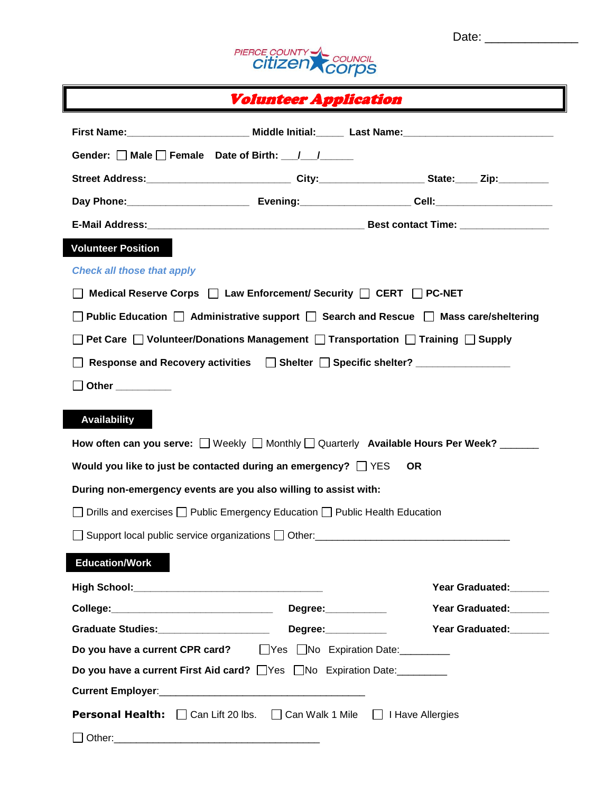

Volunteer Application

Date: \_\_\_\_\_\_\_\_\_\_\_\_\_\_

|                                   |                                                                                                           | First Name: ___________________________ Middle Initial: ______ Last Name: __________________________           |
|-----------------------------------|-----------------------------------------------------------------------------------------------------------|----------------------------------------------------------------------------------------------------------------|
|                                   | Gender: Male Female Date of Birth: ///                                                                    |                                                                                                                |
|                                   |                                                                                                           | Street Address:__________________________________City:_________________________State:______Zip:_______________ |
|                                   |                                                                                                           |                                                                                                                |
|                                   |                                                                                                           |                                                                                                                |
| <b>Volunteer Position</b>         |                                                                                                           |                                                                                                                |
| <b>Check all those that apply</b> |                                                                                                           |                                                                                                                |
|                                   | Medical Reserve Corps   Law Enforcement/ Security   CERT   PC-NET                                         |                                                                                                                |
|                                   |                                                                                                           | <b>D</b> Public Education $\Box$ Administrative support $\Box$ Search and Rescue $\Box$ Mass care/sheltering   |
|                                   | $\Box$ Pet Care $\Box$ Volunteer/Donations Management $\Box$ Transportation $\Box$ Training $\Box$ Supply |                                                                                                                |
|                                   | Response and Recovery activities Constant Constraints Specific shelter?                                   |                                                                                                                |
| <b>Other</b> _________            |                                                                                                           |                                                                                                                |
|                                   |                                                                                                           |                                                                                                                |
|                                   |                                                                                                           |                                                                                                                |
| <b>Availability</b>               |                                                                                                           |                                                                                                                |
|                                   |                                                                                                           |                                                                                                                |
|                                   | Would you like to just be contacted during an emergency? □ YES                                            | <b>OR</b>                                                                                                      |
|                                   | During non-emergency events are you also willing to assist with:                                          |                                                                                                                |
|                                   | Drills and exercises $\Box$ Public Emergency Education $\Box$ Public Health Education                     |                                                                                                                |
|                                   | $\Box$ Support local public service organizations $\Box$ Other:                                           |                                                                                                                |
| <b>Education/Work</b>             |                                                                                                           | How often can you serve: $\Box$ Weekly $\Box$ Monthly $\Box$ Quarterly Available Hours Per Week? ______        |
|                                   |                                                                                                           | Year Graduated:                                                                                                |
|                                   |                                                                                                           | Year Graduated:                                                                                                |
|                                   | Graduate Studies: __________________________________Degree: ____________________                          | Year Graduated:                                                                                                |
|                                   | Do you have a current CPR card?<br>TYes No Expiration Date:                                               |                                                                                                                |
|                                   | Do you have a current First Aid card? Ves No Expiration Date: 1990 Louis                                  |                                                                                                                |
|                                   |                                                                                                           |                                                                                                                |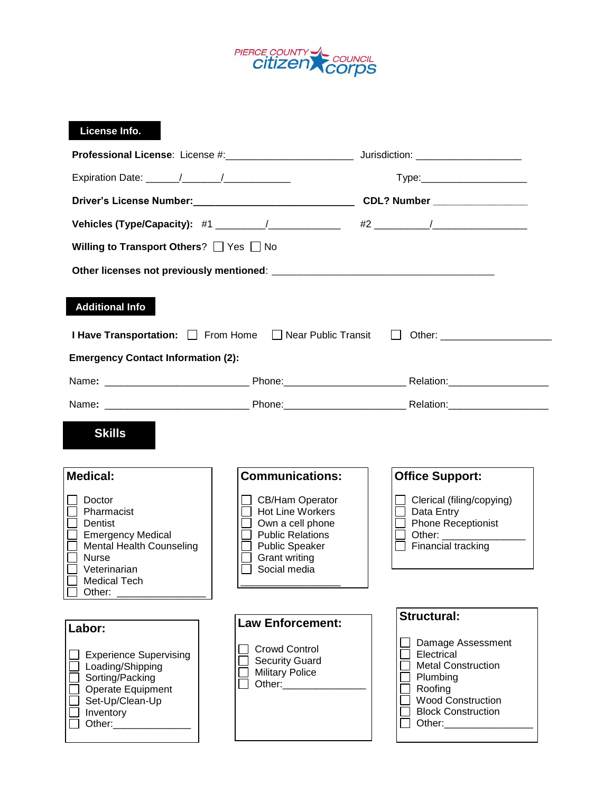

## **License Info.**

|                                                   | Type:_________________________                |                                                                                                               |  |  |
|---------------------------------------------------|-----------------------------------------------|---------------------------------------------------------------------------------------------------------------|--|--|
|                                                   |                                               | Driver's License Number: Manual CDL? Number Museum Municipal CDL? Number Municipal CDL? Number Municipal CDL? |  |  |
|                                                   |                                               |                                                                                                               |  |  |
| Willing to Transport Others? $\Box$ Yes $\Box$ No |                                               |                                                                                                               |  |  |
|                                                   |                                               |                                                                                                               |  |  |
|                                                   |                                               |                                                                                                               |  |  |
| <b>Additional Info</b>                            |                                               |                                                                                                               |  |  |
|                                                   |                                               | I Have Transportation: □ From Home □ Near Public Transit □ Other: ______________                              |  |  |
| <b>Emergency Contact Information (2):</b>         |                                               |                                                                                                               |  |  |
|                                                   |                                               |                                                                                                               |  |  |
|                                                   |                                               |                                                                                                               |  |  |
|                                                   |                                               |                                                                                                               |  |  |
| <b>Skills</b>                                     |                                               |                                                                                                               |  |  |
|                                                   |                                               |                                                                                                               |  |  |
| <b>Medical:</b>                                   | <b>Communications:</b>                        | <b>Office Support:</b>                                                                                        |  |  |
| Doctor                                            | <b>CB/Ham Operator</b>                        | Clerical (filing/copying)                                                                                     |  |  |
| Pharmacist<br>Dentist                             | <b>Hot Line Workers</b><br>Own a cell phone   | Data Entry<br><b>Phone Receptionist</b>                                                                       |  |  |
| <b>Emergency Medical</b>                          | <b>Public Relations</b>                       | Other:                                                                                                        |  |  |
| <b>Mental Health Counseling</b><br><b>Nurse</b>   | <b>Public Speaker</b><br><b>Grant writing</b> | $\Box$ Financial tracking                                                                                     |  |  |
| Veterinarian                                      | Social media                                  |                                                                                                               |  |  |
| <b>Medical Tech</b>                               |                                               |                                                                                                               |  |  |
| Other: $\overline{\phantom{a}}$                   |                                               |                                                                                                               |  |  |
|                                                   | <b>Law Enforcement:</b>                       | <b>Structural:</b>                                                                                            |  |  |
| Labor:                                            |                                               | Damage Assessment                                                                                             |  |  |
| <b>Experience Supervising</b>                     | <b>Crowd Control</b><br><b>Security Guard</b> | Electrical                                                                                                    |  |  |
| Loading/Shipping                                  | <b>Military Police</b>                        | <b>Metal Construction</b>                                                                                     |  |  |
| Sorting/Packing<br>Operate Equipment              | Other:                                        | Plumbing<br>Roofing                                                                                           |  |  |
| Set-Up/Clean-Up                                   |                                               | <b>Wood Construction</b>                                                                                      |  |  |
| Inventory                                         |                                               | <b>Block Construction</b>                                                                                     |  |  |
|                                                   |                                               | Other:____________                                                                                            |  |  |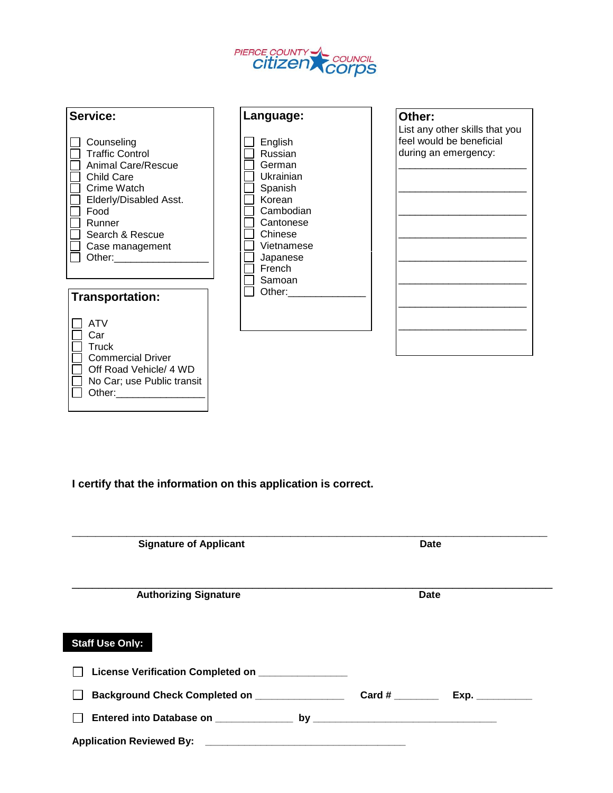



|  | Other:                                                                             |  |  |  |  |
|--|------------------------------------------------------------------------------------|--|--|--|--|
|  | List any other skills that you<br>feel would be beneficial<br>during an emergency: |  |  |  |  |
|  |                                                                                    |  |  |  |  |
|  |                                                                                    |  |  |  |  |
|  |                                                                                    |  |  |  |  |
|  |                                                                                    |  |  |  |  |
|  |                                                                                    |  |  |  |  |
|  |                                                                                    |  |  |  |  |
|  |                                                                                    |  |  |  |  |
|  |                                                                                    |  |  |  |  |
|  |                                                                                    |  |  |  |  |
|  |                                                                                    |  |  |  |  |
|  |                                                                                    |  |  |  |  |

**I certify that the information on this application is correct.**

| <b>Signature of Applicant</b>                                                                                    |                       | <b>Date</b> |  |  |
|------------------------------------------------------------------------------------------------------------------|-----------------------|-------------|--|--|
| <b>Authorizing Signature</b>                                                                                     |                       | Date        |  |  |
| <b>Staff Use Only:</b>                                                                                           |                       |             |  |  |
| License Verification Completed on ______________                                                                 |                       |             |  |  |
| Background Check Completed on ________________                                                                   | $\mathsf{Card} \; \#$ | Exp.        |  |  |
|                                                                                                                  |                       |             |  |  |
| Application Reviewed By: Application Services Services and Services Services Services Services Services Services |                       |             |  |  |